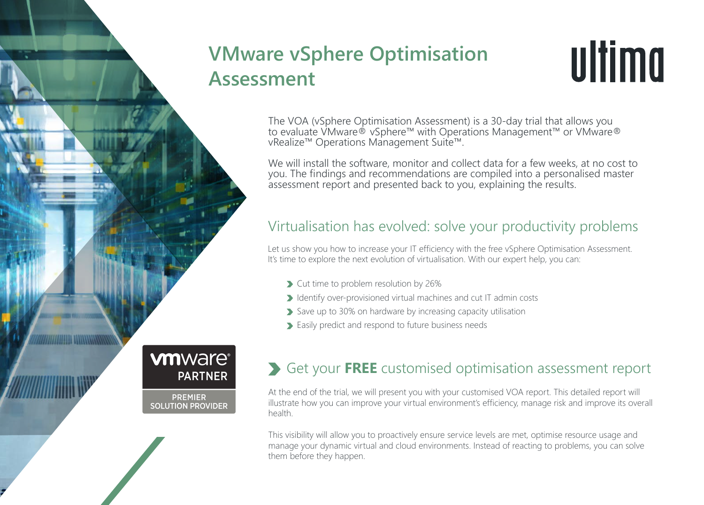# **VMware vSphere Optimisation Assessment**



The VOA (vSphere Optimisation Assessment) is a 30-day trial that allows you to evaluate VMware® vSphere™ with Operations Management™ or VMware® vRealize™ Operations Management Suite™.

We will install the software, monitor and collect data for a few weeks, at no cost to you. The findings and recommendations are compiled into a personalised master assessment report and presented back to you, explaining the results.

## Virtualisation has evolved: solve your productivity problems

Let us show you how to increase your IT efficiency with the free vSphere Optimisation Assessment. It's time to explore the next evolution of virtualisation. With our expert help, you can:

- Cut time to problem resolution by 26%
- I dentify over-provisioned virtual machines and cut IT admin costs
- Save up to 30% on hardware by increasing capacity utilisation
- Easily predict and respond to future business needs

## Get your **FREE** customised optimisation assessment report

At the end of the trial, we will present you with your customised VOA report. This detailed report will illustrate how you can improve your virtual environment's efficiency, manage risk and improve its overall health.

This visibility will allow you to proactively ensure service levels are met, optimise resource usage and manage your dynamic virtual and cloud environments. Instead of reacting to problems, you can solve them before they happen.

**vmware® PARTNER** 

**PREMIER SOLUTION PROVIDER**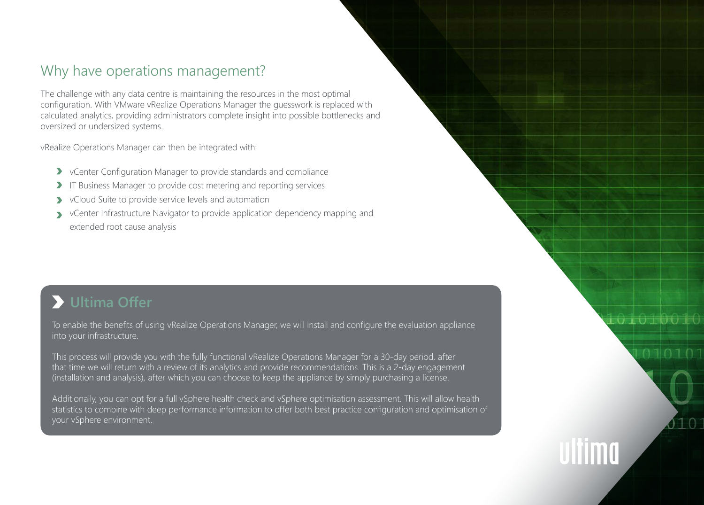## Why have operations management?

The challenge with any data centre is maintaining the resources in the most optimal configuration. With VMware vRealize Operations Manager the guesswork is replaced with calculated analytics, providing administrators complete insight into possible bottlenecks and oversized or undersized systems.

vRealize Operations Manager can then be integrated with:

- vCenter Configuration Manager to provide standards and compliance
- I IT Business Manager to provide cost metering and reporting services
- **>** vCloud Suite to provide service levels and automation
- vCenter Infrastructure Navigator to provide application dependency mapping and extended root cause analysis

## **Ultima Offer**

To enable the benefits of using vRealize Operations Manager, we will install and configure the evaluation appliance into your infrastructure.

LO 10 100 FC

 $110$ 

This process will provide you with the fully functional vRealize Operations Manager for a 30-day period, after that time we will return with a review of its analytics and provide recommendations. This is a 2-day engagement (installation and analysis), after which you can choose to keep the appliance by simply purchasing a license.

Additionally, you can opt for a full vSphere health check and vSphere optimisation assessment. This will allow health statistics to combine with deep performance information to offer both best practice configuration and optimisation of your vSphere environment.